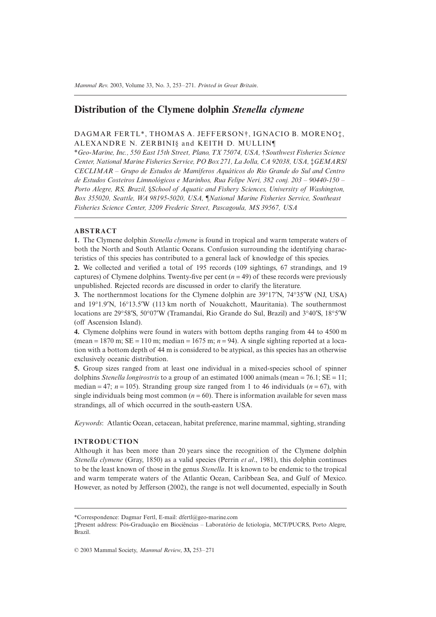# **Distribution of the Clymene dolphin** *Stenella clymene*

# DAGMAR FERTL\*, THOMAS A. JEFFERSON†, IGNACIO B. MORENO‡, ALEXANDRE N. ZERBINI§ and KEITH D. MULLIN¶

\**Geo-Marine, Inc., 550 East 15th Street, Plano, TX 75074, USA,* †*Southwest Fisheries Science Center, National Marine Fisheries Service, PO Box 271, La Jolla, CA 92038, USA,* ‡*GEMARS/ CECLIMAR – Grupo de Estudos de Mamíferos Aquáticos do Rio Grande do Sul and Centro de Estudos Costeiros Limnológicos e Marinhos, Rua Felipe Neri, 382 conj. 203 – 90440-150 – Porto Alegre, RS, Brazil,* §*School of Aquatic and Fishery Sciences, University of Washington, Box 355020, Seattle, WA 98195-5020, USA,* ¶*National Marine Fisheries Service, Southeast Fisheries Science Center, 3209 Frederic Street, Pascagoula, MS 39567, USA*

# **ABSTRACT**

**1.** The Clymene dolphin *Stenella clymene* is found in tropical and warm temperate waters of both the North and South Atlantic Oceans. Confusion surrounding the identifying characteristics of this species has contributed to a general lack of knowledge of this species.

**2.** We collected and verified a total of 195 records (109 sightings, 67 strandings, and 19 captures) of Clymene dolphins. Twenty-five per cent  $(n = 49)$  of these records were previously unpublished. Rejected records are discussed in order to clarify the literature.

**3.** The northernmost locations for the Clymene dolphin are 39°17′N, 74°35′W (NJ, USA) and 19∞1.9¢N, 16∞13.5¢W (113 km north of Nouakchott, Mauritania). The southernmost locations are 29°58′S, 50°07′W (Tramandaí, Rio Grande do Sul, Brazil) and 3°40′S, 18°5′W (off Ascension Island).

**4.** Clymene dolphins were found in waters with bottom depths ranging from 44 to 4500 m (mean = 1870 m;  $SE = 110$  m; median = 1675 m;  $n = 94$ ). A single sighting reported at a location with a bottom depth of 44 m is considered to be atypical, as this species has an otherwise exclusively oceanic distribution.

**5.** Group sizes ranged from at least one individual in a mixed-species school of spinner dolphins *Stenella longirostris* to a group of an estimated 1000 animals (mean = 76.1; SE = 11; median = 47;  $n = 105$ ). Stranding group size ranged from 1 to 46 individuals  $(n = 67)$ , with single individuals being most common ( $n = 60$ ). There is information available for seven mass strandings, all of which occurred in the south-eastern USA.

*Keywords*: Atlantic Ocean, cetacean, habitat preference, marine mammal, sighting, stranding

# **INTRODUCTION**

Although it has been more than 20 years since the recognition of the Clymene dolphin *Stenella clymene* (Gray, 1850) as a valid species (Perrin *et al*., 1981), this dolphin continues to be the least known of those in the genus *Stenella*. It is known to be endemic to the tropical and warm temperate waters of the Atlantic Ocean, Caribbean Sea, and Gulf of Mexico. However, as noted by Jefferson (2002), the range is not well documented, especially in South

<sup>\*</sup>Correspondence: Dagmar Fertl, E-mail: dfertl@geo-marine.com

<sup>‡</sup>Present address: Pós-Graduação em Biociências – Laboratório de Ictiologia, MCT/PUCRS, Porto Alegre, Brazil.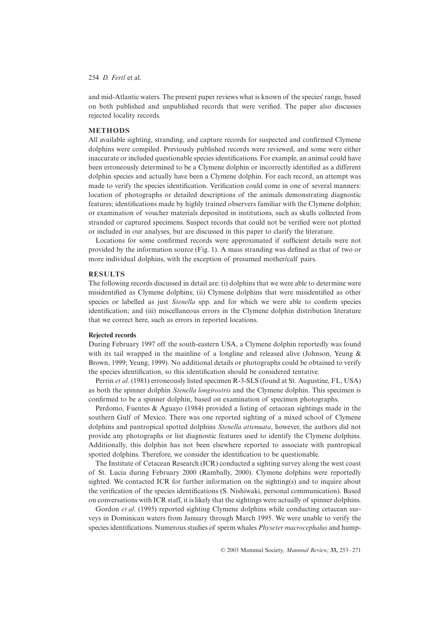and mid-Atlantic waters. The present paper reviews what is known of the species' range, based on both published and unpublished records that were verified. The paper also discusses rejected locality records.

# **METHODS**

All available sighting, stranding, and capture records for suspected and confirmed Clymene dolphins were compiled. Previously published records were reviewed, and some were either inaccurate or included questionable species identifications. For example, an animal could have been erroneously determined to be a Clymene dolphin or incorrectly identified as a different dolphin species and actually have been a Clymene dolphin. For each record, an attempt was made to verify the species identification. Verification could come in one of several manners: location of photographs or detailed descriptions of the animals demonstrating diagnostic features; identifications made by highly trained observers familiar with the Clymene dolphin; or examination of voucher materials deposited in institutions, such as skulls collected from stranded or captured specimens. Suspect records that could not be verified were not plotted or included in our analyses, but are discussed in this paper to clarify the literature.

Locations for some confirmed records were approximated if sufficient details were not provided by the information source (Fig. 1). A mass stranding was defined as that of two or more individual dolphins, with the exception of presumed mother/calf pairs.

### **RESULTS**

The following records discussed in detail are: (i) dolphins that we were able to determine were misidentified as Clymene dolphins; (ii) Clymene dolphins that were misidentified as other species or labelled as just *Stenella* spp. and for which we were able to confirm species identification; and (iii) miscellaneous errors in the Clymene dolphin distribution literature that we correct here, such as errors in reported locations.

### **Rejected records**

During February 1997 off the south-eastern USA, a Clymene dolphin reportedly was found with its tail wrapped in the mainline of a longline and released alive (Johnson, Yeung  $\&$ Brown, 1999; Yeung, 1999). No additional details or photographs could be obtained to verify the species identification, so this identification should be considered tentative.

Perrin *et al*. (1981) erroneously listed specimen R-3-SLS (found at St. Augustine, FL, USA) as both the spinner dolphin *Stenella longirostris* and the Clymene dolphin. This specimen is confirmed to be a spinner dolphin, based on examination of specimen photographs.

Perdomo, Fuentes & Aguayo (1984) provided a listing of cetacean sightings made in the southern Gulf of Mexico. There was one reported sighting of a mixed school of Clymene dolphins and pantropical spotted dolphins *Stenella attenuata*, however, the authors did not provide any photographs or list diagnostic features used to identify the Clymene dolphins. Additionally, this dolphin has not been elsewhere reported to associate with pantropical spotted dolphins. Therefore, we consider the identification to be questionable.

The Institute of Cetacean Research (ICR) conducted a sighting survey along the west coast of St. Lucia during February 2000 (Rambally, 2000). Clymene dolphins were reportedly sighted. We contacted ICR for further information on the sighting(s) and to inquire about the verification of the species identifications (S. Nishiwaki, personal communication). Based on conversations with ICR staff, it is likely that the sightings were actually of spinner dolphins.

Gordon *et al.* (1995) reported sighting Clymene dolphins while conducting cetacean surveys in Dominican waters from January through March 1995. We were unable to verify the species identifications. Numerous studies of sperm whales *Physeter macrocephalus* and hump-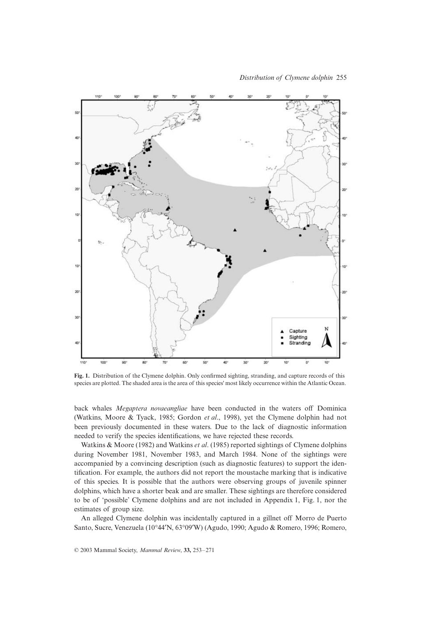

**Fig. 1.** Distribution of the Clymene dolphin. Only confirmed sighting, stranding, and capture records of this species are plotted. The shaded area is the area of this species' most likely occurrence within the Atlantic Ocean.

back whales *Megaptera novaeangliae* have been conducted in the waters off Dominica (Watkins, Moore & Tyack, 1985; Gordon *et al*., 1998), yet the Clymene dolphin had not been previously documented in these waters. Due to the lack of diagnostic information needed to verify the species identifications, we have rejected these records.

Watkins & Moore (1982) and Watkins *et al*. (1985) reported sightings of Clymene dolphins during November 1981, November 1983, and March 1984. None of the sightings were accompanied by a convincing description (such as diagnostic features) to support the identification. For example, the authors did not report the moustache marking that is indicative of this species. It is possible that the authors were observing groups of juvenile spinner dolphins, which have a shorter beak and are smaller. These sightings are therefore considered to be of 'possible' Clymene dolphins and are not included in Appendix 1, Fig. 1, nor the estimates of group size.

An alleged Clymene dolphin was incidentally captured in a gillnet off Morro de Puerto Santo, Sucre, Venezuela (10∞44¢N, 63∞09¢W) (Agudo, 1990; Agudo & Romero, 1996; Romero,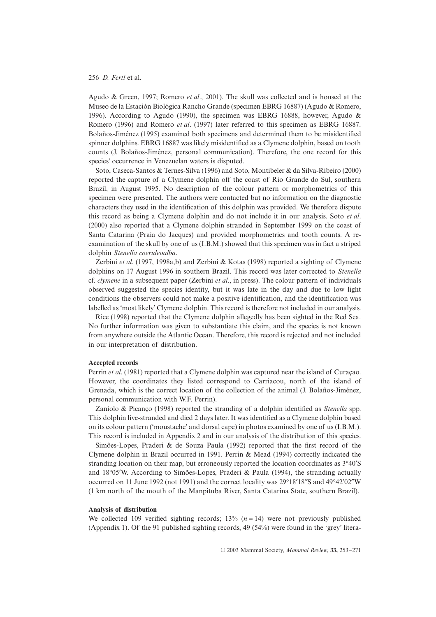Agudo & Green, 1997; Romero *et al*., 2001). The skull was collected and is housed at the Museo de la Estación Biológica Rancho Grande (specimen EBRG 16887) (Agudo & Romero, 1996). According to Agudo (1990), the specimen was EBRG 16888, however, Agudo & Romero (1996) and Romero *et al*. (1997) later referred to this specimen as EBRG 16887. Bolaños-Jiménez (1995) examined both specimens and determined them to be misidentified spinner dolphins. EBRG 16887 was likely misidentified as a Clymene dolphin, based on tooth counts (J. Bolaños-Jiménez, personal communication). Therefore, the one record for this species' occurrence in Venezuelan waters is disputed.

Soto, Caseca-Santos & Ternes-Silva (1996) and Soto, Montibeler & da Silva-Ribeiro (2000) reported the capture of a Clymene dolphin off the coast of Rio Grande do Sul, southern Brazil, in August 1995. No description of the colour pattern or morphometrics of this specimen were presented. The authors were contacted but no information on the diagnostic characters they used in the identification of this dolphin was provided. We therefore dispute this record as being a Clymene dolphin and do not include it in our analysis. Soto *et al*. (2000) also reported that a Clymene dolphin stranded in September 1999 on the coast of Santa Catarina (Praia do Jacques) and provided morphometrics and tooth counts. A reexamination of the skull by one of us (I.B.M.) showed that this specimen was in fact a striped dolphin *Stenella coeruleoalba*.

Zerbini *et al*. (1997, 1998a,b) and Zerbini & Kotas (1998) reported a sighting of Clymene dolphins on 17 August 1996 in southern Brazil. This record was later corrected to *Stenella* cf. *clymene* in a subsequent paper (Zerbini *et al*., in press). The colour pattern of individuals observed suggested the species identity, but it was late in the day and due to low light conditions the observers could not make a positive identification, and the identification was labelled as 'most likely' Clymene dolphin. This record is therefore not included in our analysis.

Rice (1998) reported that the Clymene dolphin allegedly has been sighted in the Red Sea. No further information was given to substantiate this claim, and the species is not known from anywhere outside the Atlantic Ocean. Therefore, this record is rejected and not included in our interpretation of distribution.

#### **Accepted records**

Perrin *et al*. (1981) reported that a Clymene dolphin was captured near the island of Curaçao. However, the coordinates they listed correspond to Carriacou, north of the island of Grenada, which is the correct location of the collection of the animal (J. Bolaños-Jiménez, personal communication with W.F. Perrin).

Zaniolo & Picanço (1998) reported the stranding of a dolphin identified as *Stenella* spp. This dolphin live-stranded and died 2 days later. It was identified as a Clymene dolphin based on its colour pattern ('moustache' and dorsal cape) in photos examined by one of us (I.B.M.). This record is included in Appendix 2 and in our analysis of the distribution of this species.

Simões-Lopes, Praderi & de Souza Paula (1992) reported that the first record of the Clymene dolphin in Brazil occurred in 1991. Perrin & Mead (1994) correctly indicated the stranding location on their map, but erroneously reported the location coordinates as  $3°40'S$ and 18∞05¢W. According to Simões-Lopes, Praderi & Paula (1994), the stranding actually occurred on 11 June 1992 (not 1991) and the correct locality was 29°18′18″S and 49°42′02″W (1 km north of the mouth of the Manpituba River, Santa Catarina State, southern Brazil).

#### **Analysis of distribution**

We collected 109 verified sighting records;  $13\%$   $(n = 14)$  were not previously published (Appendix 1). Of the 91 published sighting records, 49 (54%) were found in the 'grey' litera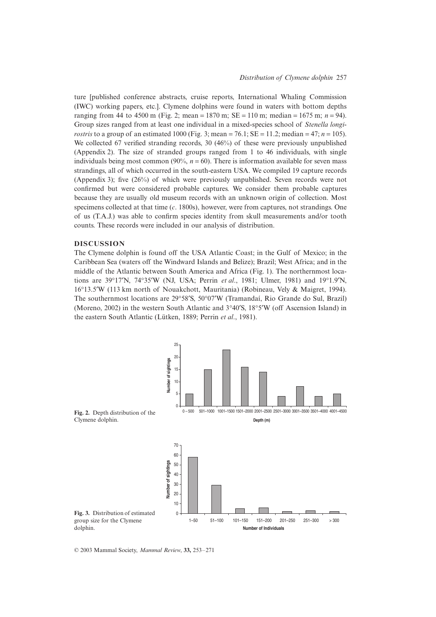ture [published conference abstracts, cruise reports, International Whaling Commission (IWC) working papers, etc.]. Clymene dolphins were found in waters with bottom depths ranging from 44 to 4500 m (Fig. 2; mean = 1870 m;  $SE = 110$  m; median = 1675 m;  $n = 94$ ). Group sizes ranged from at least one individual in a mixed-species school of *Stenella longirostris* to a group of an estimated 1000 (Fig. 3; mean =  $76.1$ ; SE = 11.2; median =  $47$ ; *n* = 105). We collected 67 verified stranding records, 30 (46%) of these were previously unpublished (Appendix 2). The size of stranded groups ranged from 1 to 46 individuals, with single individuals being most common  $(90\%, n = 60)$ . There is information available for seven mass strandings, all of which occurred in the south-eastern USA. We compiled 19 capture records (Appendix 3); five (26%) of which were previously unpublished. Seven records were not confirmed but were considered probable captures. We consider them probable captures because they are usually old museum records with an unknown origin of collection. Most specimens collected at that time (*c*. 1800s), however, were from captures, not strandings. One of us (T.A.J.) was able to confirm species identity from skull measurements and/or tooth counts. These records were included in our analysis of distribution.

# **DISCUSSION**

The Clymene dolphin is found off the USA Atlantic Coast; in the Gulf of Mexico; in the Caribbean Sea (waters off the Windward Islands and Belize); Brazil; West Africa; and in the middle of the Atlantic between South America and Africa (Fig. 1). The northernmost locations are 39∞17¢N, 74∞35¢W (NJ, USA; Perrin *et al*., 1981; Ulmer, 1981) and 19∞1.9¢N, 16∞13.5¢W (113 km north of Nouakchott, Mauritania) (Robineau, Vely & Maigret, 1994). The southernmost locations are 29∞58¢S, 50∞07¢W (Tramandaí, Rio Grande do Sul, Brazil) (Moreno, 2002) in the western South Atlantic and  $3°40'S$ ,  $18°5'W$  (off Ascension Island) in the eastern South Atlantic (Lütken, 1889; Perrin *et al*., 1981).

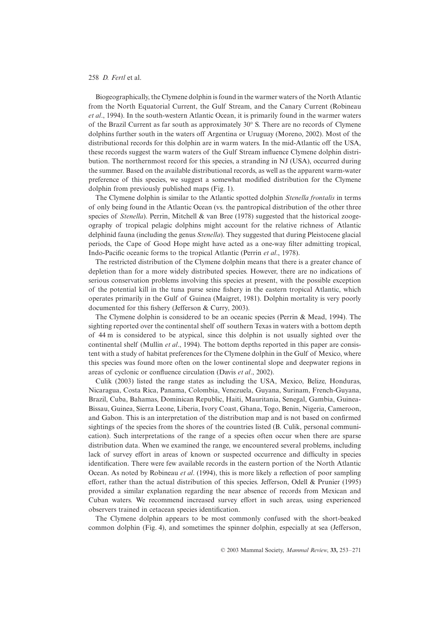Biogeographically, the Clymene dolphin is found in the warmer waters of the North Atlantic from the North Equatorial Current, the Gulf Stream, and the Canary Current (Robineau *et al*., 1994). In the south-western Atlantic Ocean, it is primarily found in the warmer waters of the Brazil Current as far south as approximately 30∞ S. There are no records of Clymene dolphins further south in the waters off Argentina or Uruguay (Moreno, 2002). Most of the distributional records for this dolphin are in warm waters. In the mid-Atlantic off the USA, these records suggest the warm waters of the Gulf Stream influence Clymene dolphin distribution. The northernmost record for this species, a stranding in NJ (USA), occurred during the summer. Based on the available distributional records, as well as the apparent warm-water preference of this species, we suggest a somewhat modified distribution for the Clymene dolphin from previously published maps (Fig. 1).

The Clymene dolphin is similar to the Atlantic spotted dolphin *Stenella frontalis* in terms of only being found in the Atlantic Ocean (vs. the pantropical distribution of the other three species of *Stenella*). Perrin, Mitchell & van Bree (1978) suggested that the historical zoogeography of tropical pelagic dolphins might account for the relative richness of Atlantic delphinid fauna (including the genus *Stenella*). They suggested that during Pleistocene glacial periods, the Cape of Good Hope might have acted as a one-way filter admitting tropical, Indo-Pacific oceanic forms to the tropical Atlantic (Perrin *et al*., 1978).

The restricted distribution of the Clymene dolphin means that there is a greater chance of depletion than for a more widely distributed species. However, there are no indications of serious conservation problems involving this species at present, with the possible exception of the potential kill in the tuna purse seine fishery in the eastern tropical Atlantic, which operates primarily in the Gulf of Guinea (Maigret, 1981). Dolphin mortality is very poorly documented for this fishery (Jefferson & Curry, 2003).

The Clymene dolphin is considered to be an oceanic species (Perrin & Mead, 1994). The sighting reported over the continental shelf off southern Texas in waters with a bottom depth of 44 m is considered to be atypical, since this dolphin is not usually sighted over the continental shelf (Mullin *et al*., 1994). The bottom depths reported in this paper are consistent with a study of habitat preferences for the Clymene dolphin in the Gulf of Mexico, where this species was found more often on the lower continental slope and deepwater regions in areas of cyclonic or confluence circulation (Davis *et al*., 2002).

Culik (2003) listed the range states as including the USA, Mexico, Belize, Honduras, Nicaragua, Costa Rica, Panama, Colombia, Venezuela, Guyana, Surinam, French-Guyana, Brazil, Cuba, Bahamas, Dominican Republic, Haiti, Mauritania, Senegal, Gambia, Guinea-Bissau, Guinea, Sierra Leone, Liberia, Ivory Coast, Ghana, Togo, Benin, Nigeria, Cameroon, and Gabon. This is an interpretation of the distribution map and is not based on confirmed sightings of the species from the shores of the countries listed (B. Culik, personal communication). Such interpretations of the range of a species often occur when there are sparse distribution data. When we examined the range, we encountered several problems, including lack of survey effort in areas of known or suspected occurrence and difficulty in species identification. There were few available records in the eastern portion of the North Atlantic Ocean. As noted by Robineau *et al*. (1994), this is more likely a reflection of poor sampling effort, rather than the actual distribution of this species. Jefferson, Odell & Prunier (1995) provided a similar explanation regarding the near absence of records from Mexican and Cuban waters. We recommend increased survey effort in such areas, using experienced observers trained in cetacean species identification.

The Clymene dolphin appears to be most commonly confused with the short-beaked common dolphin (Fig. 4), and sometimes the spinner dolphin, especially at sea (Jefferson,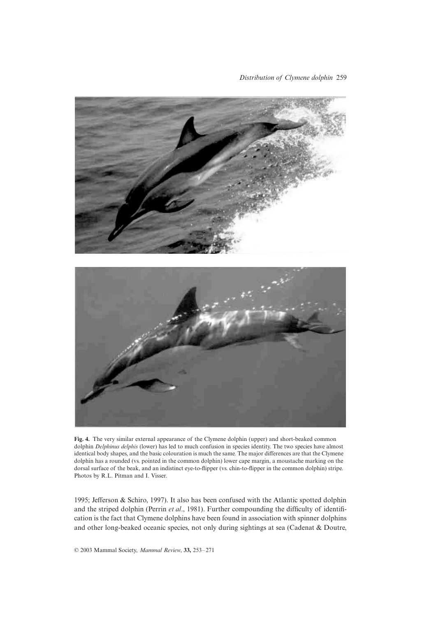

**Fig. 4.** The very similar external appearance of the Clymene dolphin (upper) and short-beaked common dolphin *Delphinus delphis* (lower) has led to much confusion in species identity. The two species have almost identical body shapes, and the basic colouration is much the same. The major differences are that the Clymene dolphin has a rounded (vs. pointed in the common dolphin) lower cape margin, a moustache marking on the dorsal surface of the beak, and an indistinct eye-to-flipper (vs. chin-to-flipper in the common dolphin) stripe. Photos by R.L. Pitman and I. Visser.

1995; Jefferson & Schiro, 1997). It also has been confused with the Atlantic spotted dolphin and the striped dolphin (Perrin *et al*., 1981). Further compounding the difficulty of identification is the fact that Clymene dolphins have been found in association with spinner dolphins and other long-beaked oceanic species, not only during sightings at sea (Cadenat & Doutre,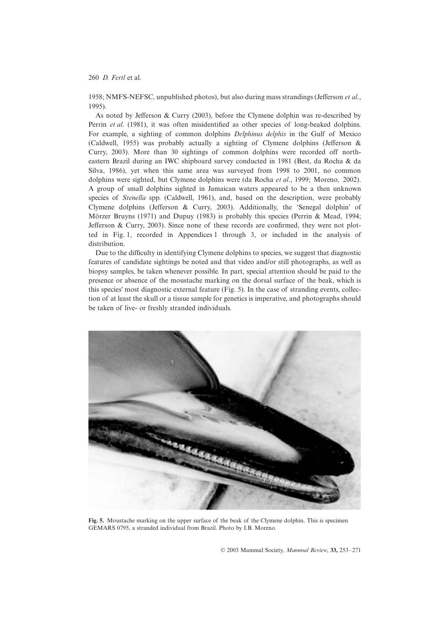1958; NMFS-NEFSC, unpublished photos), but also during mass strandings (Jefferson *et al*., 1995).

As noted by Jefferson & Curry (2003), before the Clymene dolphin was re-described by Perrin *et al*. (1981), it was often misidentified as other species of long-beaked dolphins. For example, a sighting of common dolphins *Delphinus delphis* in the Gulf of Mexico (Caldwell, 1955) was probably actually a sighting of Clymene dolphins (Jefferson & Curry, 2003). More than 30 sightings of common dolphins were recorded off northeastern Brazil during an IWC shipboard survey conducted in 1981 (Best, da Rocha & da Silva, 1986), yet when this same area was surveyed from 1998 to 2001, no common dolphins were sighted, but Clymene dolphins were (da Rocha *et al*., 1999; Moreno, 2002). A group of small dolphins sighted in Jamaican waters appeared to be a then unknown species of *Stenella* spp. (Caldwell, 1961), and, based on the description, were probably Clymene dolphins (Jefferson & Curry, 2003). Additionally, the 'Senegal dolphin' of Mörzer Bruyns (1971) and Dupuy (1983) is probably this species (Perrin & Mead, 1994; Jefferson & Curry, 2003). Since none of these records are confirmed, they were not plotted in Fig. 1, recorded in Appendices 1 through 3, or included in the analysis of distribution.

Due to the difficulty in identifying Clymene dolphins to species, we suggest that diagnostic features of candidate sightings be noted and that video and/or still photographs, as well as biopsy samples, be taken whenever possible. In part, special attention should be paid to the presence or absence of the moustache marking on the dorsal surface of the beak, which is this species' most diagnostic external feature (Fig. 5). In the case of stranding events, collection of at least the skull or a tissue sample for genetics is imperative, and photographs should be taken of live- or freshly stranded individuals.



**Fig. 5.** Moustache marking on the upper surface of the beak of the Clymene dolphin. This is specimen GEMARS 0795, a stranded individual from Brazil. Photo by I.B. Moreno.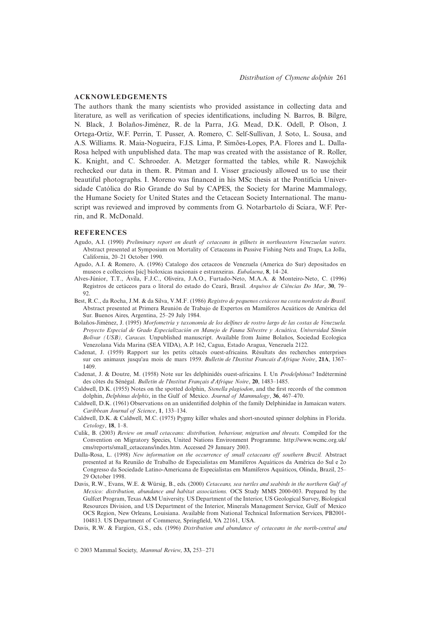### **ACKNOWLEDGEMENTS**

The authors thank the many scientists who provided assistance in collecting data and literature, as well as verification of species identifications, including N. Barros, B. Bilgre, N. Black, J. Bolaños-Jiménez, R. de la Parra, J.G. Mead, D.K. Odell, P. Olson, J. Ortega-Ortiz, W.F. Perrin, T. Pusser, A. Romero, C. Self-Sullivan, J. Soto, L. Sousa, and A.S. Williams. R. Maia-Nogueira, F.J.S. Lima, P. Simões-Lopes, P.A. Flores and L. Dalla-Rosa helped with unpublished data. The map was created with the assistance of R. Roller, K. Knight, and C. Schroeder. A. Metzger formatted the tables, while R. Nawojchik rechecked our data in them. R. Pitman and I. Visser graciously allowed us to use their beautiful photographs. I. Moreno was financed in his MSc thesis at the Pontifícia Universidade Católica do Rio Grande do Sul by CAPES, the Society for Marine Mammalogy, the Humane Society for United States and the Cetacean Society International. The manuscript was reviewed and improved by comments from G. Notarbartolo di Sciara, W.F. Perrin, and R. McDonald.

### **REFERENCES**

- Agudo, A.I. (1990) *Preliminary report on death of cetaceans in gillnets in northeastern Venezuelan waters.* Abstract presented at Symposium on Mortality of Cetaceans in Passive Fishing Nets and Traps, La Jolla, California, 20–21 October 1990.
- Agudo, A.I. & Romero, A. (1996) Catalogo dos cetaceos de Venezuela (America do Sur) depositados en museos e colleccions [sic] bioloxicas nacionais e estranxeiras. *Eubalaena*, **8**, 14–24.
- Alves-Júnior, T.T., Ávila, F.J.C., Oliveira, J.A.O., Furtado-Neto, M.A.A. & Monteiro-Neto, C. (1996) Registros de cetáceos para o litoral do estado do Ceará, Brasil. *Arquivos de Ciências Do Mar*, **30**, 79–  $92.$
- Best, R.C., da Rocha, J.M. & da Silva, V.M.F. (1986) *Registro de pequenos cetáceos na costa nordeste do Brasil.* Abstract presented at Primera Reunión de Trabajo de Expertos en Mamíferos Acuáticos de América del Sur. Buenos Aires, Argentina, 25–29 July 1984.
- Bolaños-Jiménez, J. (1995) *Morfometría y taxonomía de los delfines de rostro largo de las costas de Venezuela. Proyecto Especial de Grado Especialización en Manejo de Fauna Silvestre y Acuática, Universidad Simón Bolívar (USB), Caracas.* Unpublished manuscript. Available from Jaime Bolaños, Sociedad Ecologica Venezolana Vida Marina (SEA VIDA), A.P. 162, Cagua, Estado Aragua, Venezuela 2122.
- Cadenat, J. (1959) Rapport sur les petits cétacés ouest-africains. Résultats des recherches enterprises sur ces animaux jusqu'au mois de mars 1959. *Bulletin de l'Institut Francais d'Afrique Noire*, **21A**, 1367– 1409.
- Cadenat, J. & Doutre, M. (1958) Note sur les delphinidés ouest-africains. I. Un *Prodelphinus*? Indéterminé des côtes du Sénégal. *Bulletin de l'Institut Français d'Afrique Noire*, **20**, 1483–1485.
- Caldwell, D.K. (1955) Notes on the spotted dolphin, *Stenella plagiodon*, and the first records of the common dolphin, *Delphinus delphis*, in the Gulf of Mexico. *Journal of Mammalogy*, **36**, 467–470.
- Caldwell, D.K. (1961) Observations on an unidentified dolphin of the family Delphinidae in Jamaican waters. *Caribbean Journal of Science*, **1**, 133–134.
- Caldwell, D.K. & Caldwell, M.C. (1975) Pygmy killer whales and short-snouted spinner dolphins in Florida. *Cetology*, **18**, 1–8.
- Culik, B. (2003) *Review on small cetaceans: distribution, behaviour, migration and threats.* Compiled for the Convention on Migratory Species, United Nations Environment Programme. <http://www.wcmc.org.uk/> cms/reports/small\_cetaceans/index.htm. Accessed 29 January 2003.
- Dalla-Rosa, L. (1998) *New information on the occurrence of small cetaceans off southern Brazil.* Abstract presented at 8a Reunião de Trabalho de Especialistas em Mamíferos Aquáticos da América do Sul e 2o Congresso da Sociedade Latino-Americana de Especialistas em Mamíferos Aquáticos, Olinda, Brazil, 25– 29 October 1998.
- Davis, R.W., Evans, W.E. & Würsig, B., eds. (2000) *Cetaceans, sea turtles and seabirds in the northern Gulf of Mexico: distribution, abundance and habitat associations.* OCS Study MMS 2000-003. Prepared by the Gulfcet Program, Texas A&M University. US Department of the Interior, US Geological Survey, Biological Resources Division, and US Department of the Interior, Minerals Management Service, Gulf of Mexico OCS Region, New Orleans, Louisiana. Available from National Technical Information Services, PB2001- 104813. US Department of Commerce, Springfield, VA 22161, USA.
- Davis, R.W. & Fargion, G.S., eds. (1996) *Distribution and abundance of cetaceans in the north-central and*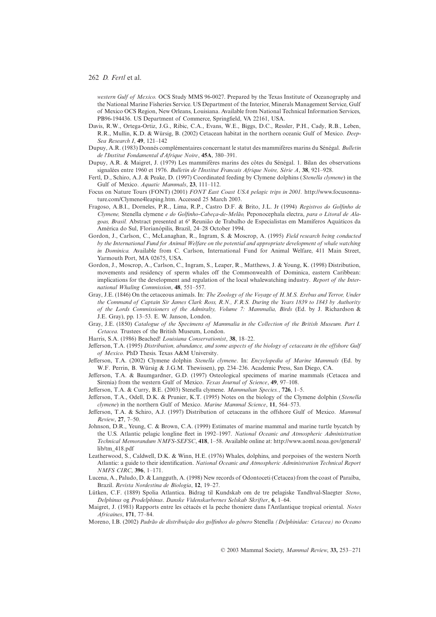*western Gulf of Mexico.* OCS Study MMS 96-0027. Prepared by the Texas Institute of Oceanography and the National Marine Fisheries Service. US Department of the Interior, Minerals Management Service, Gulf of Mexico OCS Region, New Orleans, Louisiana. Available from National Technical Information Services, PB96-194436. US Department of Commerce, Springfield, VA 22161, USA.

- Davis, R.W., Ortega-Ortiz, J.G., Ribic, C.A., Evans, W.E., Biggs, D.C., Ressler, P.H., Cady, R.B., Leben, R.R., Mullin, K.D. & Würsig, B. (2002) Cetacean habitat in the northern oceanic Gulf of Mexico. *Deep-Sea Research I*, **49**, 121–142
- Dupuy, A.R. (1983) Donnés complémentaires concernant le statut des mammifères marins du Sénégal. *Bulletin de l'Institut Fondamental d'Afrique Noire*, **45A**, 380–391.
- Dupuy, A.R. & Maigret, J. (1979) Les mammifères marins des côtes du Sénégal. 1. Bilan des observations signalées entre 1960 et 1976. *Bulletin de l'Institut Francais Afrique Noire, Série A*, **38**, 921–928.
- Fertl, D., Schiro, A.J. & Peake, D. (1997) Coordinated feeding by Clymene dolphins (*Stenella clymene*) in the Gulf of Mexico. *Aquatic Mammals*, **23**, 111–112.
- Focus on Nature Tours (FONT) (2001) *FONT East Coast USA pelagic trips in 2001.* http://www.focusonna[ture.com/Clymene4leaping.htm. Accessed 25 March 2003.](http://www.focusonnature.com/Clymene4leaping.htm)
- Fragoso, A.B.I., Dorneles, P.R., Lima, R.P., Castro D.F. & Brito, J.L. Jr (1994) *Registros do Golfinho de Clymene,* Stenella clymene *e do Golfinho-Cabeça-de-Melão,* Peponocephala electra, *para o Litoral de Ala*goas, Brasil. Abstract presented at 6ª Reunião de Trabalho de Especialistas em Mamíferos Aquáticos da América do Sul, Florianópilis, Brazil, 24–28 October 1994.
- Gordon, J., Carlson, C., McLanaghan, R., Ingram, S. & Moscrop, A. (1995) *Field research being conducted by the International Fund for Animal Welfare on the potential and appropriate development of whale watching in Dominica.* Available from C. Carlson, International Fund for Animal Welfare, 411 Main Street, Yarmouth Port, MA 02675, USA.
- Gordon, J., Moscrop, A., Carlson, C., Ingram, S., Leaper, R., Matthews, J. & Young, K. (1998) Distribution, movements and residency of sperm whales off the Commonwealth of Dominica, eastern Caribbean: implications for the development and regulation of the local whalewatching industry. *Report of the International Whaling Commission*, **48**, 551–557.
- Gray, J.E. (1846) On the cetaceous animals. In: *The Zoology of the Voyage of H.M.S. Erebus and Terror, Under the Command of Captain Sir James Clark Ross, R.N., F.R.S. During the Years 1839 to 1843 by Authority of the Lords Commissioners of the Admiralty, Volume 7: Mammalia, Birds* (Ed. by J. Richardson & J.E. Gray), pp. 13–53. E. W. Janson, London.
- Gray, J.E. (1850) *Catalogue of the Specimens of Mammalia in the Collection of the British Museum. Part I. Cetacea.* Trustees of the British Museum, London.
- Harris, S.A. (1986) Beached! *Louisiana Conservationist*, **38**, 18–22.
- Jefferson, T.A. (1995) *Distribution, abundance, and some aspects of the biology of cetaceans in the offshore Gulf of Mexico.* PhD Thesis. Texas A&M University.
- Jefferson, T.A. (2002) Clymene dolphin *Stenella clymene*. In: *Encyclopedia of Marine Mammals* (Ed. by W.F. Perrin, B. Würsig & J.G.M. Thewissen), pp. 234–236. Academic Press, San Diego, CA.
- Jefferson, T.A. & Baumgardner, G.D. (1997) Osteological specimens of marine mammals (Cetacea and Sirenia) from the western Gulf of Mexico. *Texas Journal of Science*, **49**, 97–108.
- Jefferson, T.A. & Curry, B.E. (2003) Stenella clymene. *Mammalian Species.*, **726**, 1–5.
- Jefferson, T.A., Odell, D.K. & Prunier, K.T. (1995) Notes on the biology of the Clymene dolphin (*Stenella clymene*) in the northern Gulf of Mexico. *Marine Mammal Science*, **11**, 564–573.
- Jefferson, T.A. & Schiro, A.J. (1997) Distribution of cetaceans in the offshore Gulf of Mexico. *Mammal Review*, **27**, 7–50.
- Johnson, D.R., Yeung, C. & Brown, C.A. (1999) Estimates of marine mammal and marine turtle bycatch by the U.S. Atlantic pelagic longline fleet in 1992–1997. *National Oceanic and Atmospheric Administration Technical Memorandum NMFS-SEFSC*, **418**, 1–58. Available online at:<http://www.aoml.noaa.gov/general/> lib/tm\_418.pdf
- Leatherwood, S., Caldwell, D.K. & Winn, H.E. (1976) Whales, dolphins, and porpoises of the western North Atlantic: a guide to their identification. *National Oceanic and Atmospheric Administration Technical Report NMFS CIRC*, **396**, 1–171.
- Lucena, A., Paludo, D. & Langguth, A. (1998) New records of Odontoceti (Cetacea) from the coast of Paraíba, Brazil. *Revista Nordestina de Biologia*, **12**, 19–27.
- Lütken, C.F. (1889) Spolia Atlantica. Bidrag til Kundskab om de tre pelagiske Tandhval-Slaegter *Steno*, *Delphinus* og *Prodelphinus*. *Danske Videnskarbernes Selskab Skrifter*, **6**, 1–64.
- Maigret, J. (1981) Rapports entre les cétacés et la peche thoniere dans l'Antlantique tropical oriental. *Notes Africaines*, **171**, 77–84.
- Moreno, I.B. (2002) *Padrão de distribuição dos golfinhos do gênero* Stenella *(Delphinidae: Cetacea) no Oceano*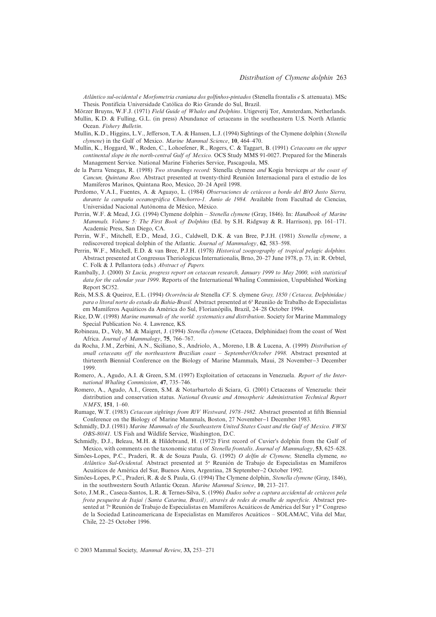*Atlântico sul-ocidental e Morfometria craniana dos golfinhos-pintados* (Stenella frontalis *e* S. attenuata). MSc Thesis. Pontifícia Universidade Católica do Rio Grande do Sul, Brazil.

- Mörzer Bruyns, W.F.J. (1971) *Field Guide of Whales and Dolphins*. Utigeverij Tor, Amsterdam, Netherlands.
- Mullin, K.D. & Fulling, G.L. (in press) Abundance of cetaceans in the southeastern U.S. North Atlantic Ocean. *Fishery Bulletin*.
- Mullin, K.D., Higgins, L.V., Jefferson, T.A. & Hansen, L.J. (1994) Sightings of the Clymene dolphin (*Stenella clymene*) in the Gulf of Mexico. *Marine Mammal Science*, **10**, 464–470.
- Mullin, K., Hoggard, W., Roden, C., Lohoefener, R., Rogers, C. & Taggart, B. (1991) *Cetaceans on the upper continental slope in the north-central Gulf of Mexico.* OCS Study MMS 91-0027. Prepared for the Minerals Management Service. National Marine Fisheries Service, Pascagoula, MS.
- de la Parra Venegas, R. (1998) *Two strandings record:* Stenella clymene *and* Kogia breviceps *at the coast of Cancun, Quintana Roo.* Abstract presented at twenty-third Reunión Internacional para el estudio de los Mamíferos Marinos, Quintana Roo, Mexico, 20–24 April 1998.
- Perdomo, V.A.I., Fuentes, A. & Aguayo, L. (1984) *Observaciones de cetáceos a bordo del B/O Justo Sierra, durante la campaña oceanográfica Chinchorro-1. Junio de 1984.* Available from Facultad de Ciencias, Universidad Nacional Autónoma de México, México.
- Perrin, W.F. & Mead, J.G. (1994) Clymene dolphin *Stenella clymene* (Gray, 1846). In: *Handbook of Marine Mammals. Volume 5: The First Book of Dolphins* (Ed. by S.H. Ridgway & R. Harrison), pp. 161–171. Academic Press, San Diego, CA.
- Perrin, W.F., Mitchell, E.D., Mead, J.G., Caldwell, D.K. & van Bree, P.J.H. (1981) *Stenella clymene*, a rediscovered tropical dolphin of the Atlantic. *Journal of Mammalogy*, **62**, 583–598.
- Perrin, W.F., Mitchell, E.D. & van Bree, P.J.H. (1978) *Historical zoogeography of tropical pelagic dolphins.* Abstract presented at Congressus Theriologicus Internationalis, Brno, 20–27 June 1978, p. 73, in: R. Orbtel, C. Folk & J. Pellantora (eds.) *Abstract of Papers.*
- Rambally, J. (2000) *St Lucia, progress report on cetacean research, January 1999 to May 2000, with statistical data for the calendar year 1999.* Reports of the International Whaling Commission, Unpublished Working Report SC/52.
- Reis, M.S.S. & Queiroz, E.L. (1994) *Ocorrência de* Stenella *CF.* S. clymene *Gray, 1850 (Cetacea, Delphinidae) para o litoral norte do estado da Bahia-Brasil.* Abstract presented at 6a Reunião de Trabalho de Especialistas em Mamíferos Aquáticos da América do Sul, Florianópilis, Brazil, 24–28 October 1994.
- Rice, D.W. (1998) *Marine mammals of the world: systematics and distribution*. Society for Marine Mammalogy Special Publication No. 4. Lawrence, KS.
- Robineau, D., Vely, M. & Maigret, J. (1994) *Stenella clymene* (Cetacea, Delphinidae) from the coast of West Africa. *Journal of Mammalogy*, **75**, 766–767.
- da Rocha, J.M., Zerbini, A.N., Siciliano, S., Andriolo, A., Moreno, I.B. & Lucena, A. (1999) *Distribution of small cetaceans off the northeastern Brazilian coast – September/October 1998.* Abstract presented at thirteenth Biennial Conference on the Biology of Marine Mammals, Maui, 28 November-3 December 1999.
- Romero, A., Agudo, A.I. & Green, S.M. (1997) Exploitation of cetaceans in Venezuela. *Report of the International Whaling Commission*, **47**, 735–746.
- Romero, A., Agudo, A.I., Green, S.M. & Notarbartolo di Sciara, G. (2001) Cetaceans of Venezuela: their distribution and conservation status. *National Oceanic and Atmospheric Administration Technical Report NMFS*, **151**, 1–60.
- Rumage, W.T. (1983) *Cetacean sightings from R/V Westward, 1978–1982.* Abstract presented at fifth Biennial Conference on the Biology of Marine Mammals, Boston, 27 November-1 December 1983.
- Schmidly, D.J. (1981) *Marine Mammals of the Southeastern United States Coast and the Gulf of Mexico. FWS/ OBS-80/41.* US Fish and Wildlife Service, Washington, D.C.
- Schmidly, D.J., Beleau, M.H. & Hildebrand, H. (1972) First record of Cuvier's dolphin from the Gulf of Mexico, with comments on the taxonomic status of *Stenella frontalis*. *Journal of Mammalogy*, **53**, 625–628.
- Simões-Lopes, P.C., Praderi, R. & de Souza Paula, G. (1992) *O delfin de Clymene,* Stenella clymene, *no Atlântico Sul-Ocidental.* Abstract presented at 5a Reunión de Trabajo de Especialistas en Mamíferos Acuáticos de América del Sur, Buenos Aires, Argentina, 28 September-2 October 1992.
- Simões-Lopes, P.C., Praderi, R. & de S. Paula, G. (1994) The Clymene dolphin, *Stenella clymene* (Gray, 1846), in the southwestern South Atlantic Ocean. *Marine Mammal Science*, **10**, 213–217.
- Soto, J.M.R., Caseca-Santos, L.R. & Ternes-Silva, S. (1996) *Dados sobre a captura accidental de cetáceos pela frota pesqueira de Itajaí (Santa Catarina, Brasil), através de redes de emalhe de superficie.* Abstract presented at 7<sup>a</sup> Reunión de Trabajo de Especialistas en Mamíferos Acuáticos de América del Sur y I<sup>er</sup> Congreso de la Sociedad Latinoamericana de Especialistas en Mamíferos Acuáticos – SOLAMAC, Viña del Mar, Chile, 22–25 October 1996.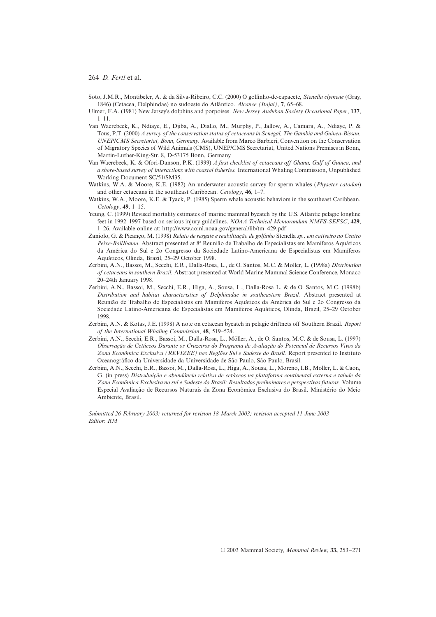- Soto, J.M.R., Montibeler, A. & da Silva-Ribeiro, C.C. (2000) O golfinho-de-capacete, *Stenella clymene* (Gray, 1846) (Cetacea, Delphindae) no sudoeste do Atlântico. *Alcance (Itajaí)*, **7**, 65–68.
- Ulmer, F.A. (1981) New Jersey's dolphins and porpoises. *New Jersey Audubon Society Occasional Paper*, **137**, 1–11.
- Van Waerebeek, K., Ndiaye, E., Djiba, A., Diallo, M., Murphy, P., Jallow, A., Camara, A., Ndiaye, P. & Tous, P.T. (2000) *A survey of the conservation status of cetaceans in Senegal, The Gambia and Guinea-Bissau. UNEP/CMS Secretariat, Bonn, Germany.* Available from Marco Barbieri, Convention on the Conservation of Migratory Species of Wild Animals (CMS), UNEP/CMS Secretariat, United Nations Premises in Bonn, Martin-Luther-King-Str. 8, D-53175 Bonn, Germany.
- Van Waerebeek, K. & Ofori-Danson, P.K. (1999) *A first checklist of cetaceans off Ghana, Gulf of Guinea, and a shore-based survey of interactions with coastal fisheries.* International Whaling Commission, Unpublished Working Document SC/51/SM35.
- Watkins, W.A. & Moore, K.E. (1982) An underwater acoustic survey for sperm whales (*Physeter catodon*) and other cetaceans in the southeast Caribbean. *Cetology*, **46**, 1–7.
- Watkins, W.A., Moore, K.E. & Tyack, P. (1985) Sperm whale acoustic behaviors in the southeast Caribbean. *Cetology*, **49**, 1–15.
- Yeung, C. (1999) Revised mortality estimates of marine mammal bycatch by the U.S. Atlantic pelagic longline feet in 1992–1997 based on serious injury guidelines. *NOAA Technical Memorandum NMFS-SEFSC*, **429**, 1–26. Available online at: [http://www.aoml.noaa.gov/general/lib/tm\\_429.pdf](http://www.aoml.noaa.gov/general/lib/tm_429.pdf)
- Zaniolo, G. & Picanço, M. (1998) *Relato de resgate e reabilitação de golfinho* Stenella *sp., em cativeiro no Centro* Peixe-Boi/Ibama. Abstract presented at 8<sup>ª</sup> Reunião de Trabalho de Especialistas em Mamíferos Aquáticos da América do Sul e 2o Congresso da Sociedade Latino-Americana de Especialistas em Mamíferos Aquáticos, Olinda, Brazil, 25–29 October 1998.
- Zerbini, A.N., Bassoi, M., Secchi, E.R., Dalla-Rosa, L., de O. Santos, M.C. & Moller, L. (1998a) *Distribution of cetaceans in southern Brazil.* Abstract presented at World Marine Mammal Science Conference, Monaco 20–24th January 1998.
- Zerbini, A.N., Bassoi, M., Secchi, E.R., Higa, A., Sousa, L., Dalla-Rosa L. & de O. Santos, M.C. (1998b) *Distribution and habitat characteristics of Delphinidae in southeastern Brazil.* Abstract presented at Reunião de Trabalho de Especialistas em Mamíferos Aquáticos da América do Sul e 2o Congresso da Sociedade Latino-Americana de Especialistas em Mamíferos Aquáticos, Olinda, Brazil, 25–29 October 1998.
- Zerbini, A.N. & Kotas, J.E. (1998) A note on cetacean bycatch in pelagic driftnets off Southern Brazil. *Report of the International Whaling Commission*, **48**, 519–524.
- Zerbini, A.N., Secchi, E.R., Bassoi, M., Dalla-Rosa, L., Möller, A., de O. Santos, M.C. & de Sousa, L. (1997) *Observação de Cetáceos Durante os Cruzeiros do Programa de Avaliação do Potencial de Recursos Vivos da Zona Econômica Exclusiva (REVIZEE) nas Regiões Sul e Sudeste do Brasil*. Report presented to Instituto Oceanográfico da Universidade da Universidade de São Paulo, São Paulo, Brasil.
- Zerbini, A.N., Secchi, E.R., Bassoi, M., Dalla-Rosa, L., Higa, A., Sousa, L., Moreno, I.B., Moller, L. & Caon, G. (in press) *Distrubuição e abundância relativa de cetáceos na plataforma continental externa e talude da Zona Econômica Exclusiva no sul e Sudeste do Brasil: Resultados preliminares e perspectivas futuras.* Volume Especial Avaliação de Recursos Naturais da Zona Econômica Exclusiva do Brasil. Ministério do Meio Ambiente, Brasil.

*Submitted 26 February 2003; returned for revision 18 March 2003; revision accepted 11 June 2003 Editor*: *RM*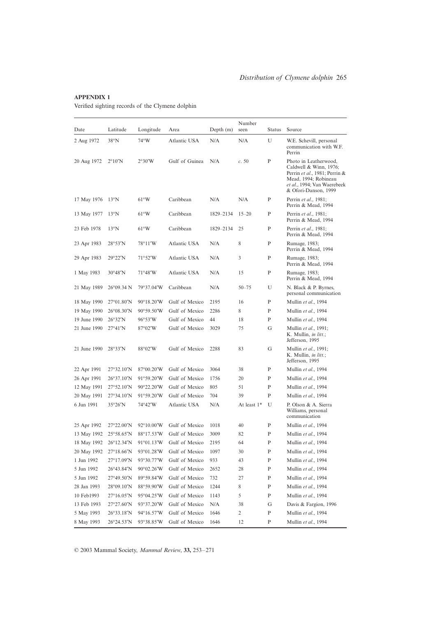# **APPENDIX 1**

Verified sighting records of the Clymene dolphin

| Date         | Latitude                    | Longitude           | Area           | Depth $(m)$ | Number<br>seen | <b>Status</b> | Source                                                                                                                                                          |
|--------------|-----------------------------|---------------------|----------------|-------------|----------------|---------------|-----------------------------------------------------------------------------------------------------------------------------------------------------------------|
| 2 Aug 1972   | $38^\circ N$                | $74^{\circ}$ W      | Atlantic USA   | N/A         | N/A            | U             | W.E. Schevill, personal<br>communication with W.F.<br>Perrin                                                                                                    |
| 20 Aug 1972  | $2^{\circ}10'$ N            | 2°30'W              | Gulf of Guinea | N/A         | c.50           | P             | Photo in Leatherwood,<br>Caldwell & Winn, 1976;<br>Perrin et al., 1981; Perrin &<br>Mead, 1994; Robineau<br>et al., 1994; Van Waerebeek<br>& Ofori-Danson, 1999 |
| 17 May 1976  | $13^{\circ}$ N              | $61^{\circ}$ W      | Caribbean      | N/A         | N/A            | P             | Perrin et al., 1981;<br>Perrin & Mead, 1994                                                                                                                     |
| 13 May 1977  | $13^{\circ}$ N              | $61^{\circ}$ W      | Caribbean      | 1829-2134   | $15 - 20$      | P             | Perrin et al., 1981;<br>Perrin & Mead, 1994                                                                                                                     |
| 23 Feb 1978  | $13^{\circ}$ N              | $61^{\circ}$ W      | Caribbean      | 1829-2134   | 25             | P             | Perrin et al., 1981;<br>Perrin & Mead, 1994                                                                                                                     |
| 23 Apr 1983  | 28°53'N                     | 78°11′W             | Atlantic USA   | N/A         | 8              | P             | Rumage, 1983;<br>Perrin & Mead, 1994                                                                                                                            |
| 29 Apr 1983  | 29°22'N                     | $71^{\circ}52'W$    | Atlantic USA   | N/A         | 3              | P             | Rumage, 1983;<br>Perrin & Mead, 1994                                                                                                                            |
| 1 May 1983   | $30^{\circ}48'$ N           | $71^{\circ}48'W$    | Atlantic USA   | N/A         | 15             | P             | Rumage, 1983;<br>Perrin & Mead, 1994                                                                                                                            |
| 21 May 1989  | $26^{\circ}09.34$ N         | 79°37.04'W          | Caribbean      | N/A         | $50 - 75$      | U             | N. Black & P. Byrnes,<br>personal communication                                                                                                                 |
| 18 May 1990  | $27^{\circ}01.80'$ N        | $90^{\circ}18.20'W$ | Gulf of Mexico | 2195        | 16             | P             | Mullin et al., 1994                                                                                                                                             |
| 19 May 1990  | $26^{\circ}08.30^{\prime}N$ | $90^{\circ}59.50'W$ | Gulf of Mexico | 2286        | 8              | P             | Mullin et al., 1994                                                                                                                                             |
| 19 June 1990 | 26°32'N                     | $96^{\circ}53'W$    | Gulf of Mexico | 44          | 18             | P             | Mullin et al., 1994                                                                                                                                             |
| 21 June 1990 | 27°41'N                     | $87^{\circ}02'W$    | Gulf of Mexico | 3029        | 75             | G             | Mullin et al., 1991;<br>K. Mullin, <i>in litt.</i> ;<br>Jefferson, 1995                                                                                         |
| 21 June 1990 | 28°33'N                     | $88^{\circ}02'W$    | Gulf of Mexico | 2288        | 83             | G             | Mullin et al., 1991;<br>K. Mullin, in litt.;<br>Jefferson, 1995                                                                                                 |
| 22 Apr 1991  | $27^{\circ}32.10^{\prime}N$ | $87^{\circ}00.20'W$ | Gulf of Mexico | 3064        | 38             | P             | Mullin et al., 1994                                                                                                                                             |
| 26 Apr 1991  | $26^{\circ}37.10^{\prime}N$ | $91^{\circ}59.20'W$ | Gulf of Mexico | 1756        | 20             | P             | Mullin et al., 1994                                                                                                                                             |
| 12 May 1991  | $27^{\circ}52.10'$ N        | $90^{\circ}22.20'W$ | Gulf of Mexico | 805         | 51             | P             | Mullin et al., 1994                                                                                                                                             |
| 20 May 1991  | $27^{\circ}34.10'$ N        | 91°59.20'W          | Gulf of Mexico | 704         | 39             | P             | Mullin et al., 1994                                                                                                                                             |
| 6 Jun 1991   | $35^{\circ}26'$ N           | 74°42'W             | Atlantic USA   | N/A         | At least 1*    | U             | P. Olson & A. Sierra<br>Williams, personal<br>communication                                                                                                     |
| 25 Apr 1992  | $27^{\circ}22.00^{\prime}N$ | $92^{\circ}10.00'W$ | Gulf of Mexico | 1018        | 40             | P             | Mullin et al., 1994                                                                                                                                             |
| 13 May 1992  | 25°58.65'N                  | 88°17.53'W          | Gulf of Mexico | 3009        | 82             | P             | Mullin et al., 1994                                                                                                                                             |
| 18 May 1992  | $26^{\circ}12.34'N$         | 91°01.13'W          | Gulf of Mexico | 2195        | 64             | P             | Mullin et al., 1994                                                                                                                                             |
| 20 May 1992  | $27^{\circ}18.66'$ N        | $93^{\circ}01.28'W$ | Gulf of Mexico | 1097        | 30             | ${\bf P}$     | Mullin et al., 1994                                                                                                                                             |
| 1 Jun 1992   | 27°17.09'N                  | 93°30.77'W          | Gulf of Mexico | 933         | 43             | P             | Mullin et al., 1994                                                                                                                                             |
| 5 Jun 1992   | 26°43.84'N                  | 90°02.26'W          | Gulf of Mexico | 2652        | 28             | ${\bf P}$     | Mullin et al., 1994                                                                                                                                             |
| 5 Jun 1992   | 27°49.50'N                  | 89°59.84'W          | Gulf of Mexico | 732         | 27             | P             | Mullin et al., 1994                                                                                                                                             |
| 28 Jan 1993  | 28°09.10'N                  | 88°59.90'W          | Gulf of Mexico | 1244        | 8              | P             | Mullin et al., 1994                                                                                                                                             |
| 10 Feb1993   | $27^{\circ}16.05'N$         | 95°04.25'W          | Gulf of Mexico | 1143        | 5              | P             | Mullin et al., 1994                                                                                                                                             |
| 13 Feb 1993  | 27°27.60'N                  | 93°37.20'W          | Gulf of Mexico | N/A         | 38             | G             | Davis & Fargion, 1996                                                                                                                                           |
| 5 May 1993   | 26°33.18'N                  | 94°16.57'W          | Gulf of Mexico | 1646        | $\overline{c}$ | P             | Mullin et al., 1994                                                                                                                                             |
| 8 May 1993   | 26°24.53'N                  | 93°38.85'W          | Gulf of Mexico | 1646        | 12             | P             | Mullin et al., 1994                                                                                                                                             |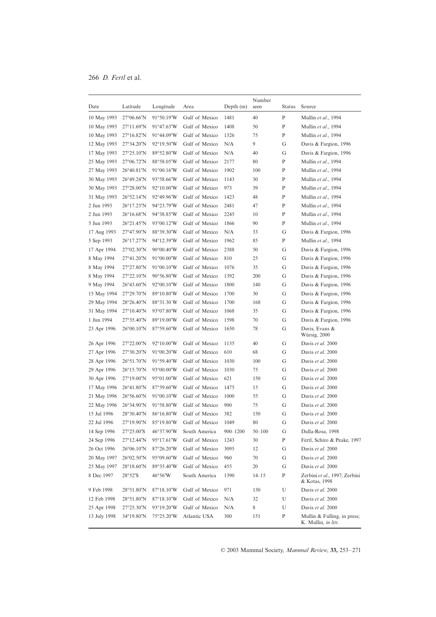| Date         | Latitude                    | Longitude           | Area           | Depth $(m)$  | Number<br>seen | <b>Status</b> | Source                                             |
|--------------|-----------------------------|---------------------|----------------|--------------|----------------|---------------|----------------------------------------------------|
| 10 May 1993  | $27^{\circ}06.66'$ N        | 91°50.19'W          | Gulf of Mexico | 1481         | 40             | P             | Mullin et al., 1994                                |
| 10 May 1993  | $27^{\circ}11.69'N$         | 91°47.63′W          | Gulf of Mexico | 1408         | 50             | P             | Mullin et al., 1994                                |
| 10 May 1993  | $27^{\circ}16.82'N$         | 91°44.09'W          | Gulf of Mexico | 1326         | 75             | P             | Mullin et al., 1994                                |
| 12 May 1993  | 27°34.20'N                  | 92°19.50′W          | Gulf of Mexico | N/A          | 9              | G             | Davis & Fargion, 1996                              |
| 17 May 1993  | $27^{\circ}25.10^{\prime}N$ | 89°52.80′W          | Gulf of Mexico | N/A          | 40             | G             | Davis & Fargion, 1996                              |
| 25 May 1993  | $27^{\circ}06.72^{\prime}N$ | 88°58.05′W          | Gulf of Mexico | 2177         | 80             | P             | Mullin et al., 1994                                |
| 27 May 1993  | $26^{\circ}40.81'N$         | 91°00.16′W          | Gulf of Mexico | 1902         | 100            | $\mathbf P$   | Mullin et al., 1994                                |
| 30 May 1993  | 26°49.24'N                  | 93°58.66′W          | Gulf of Mexico | 1143         | 30             | P             | Mullin et al., 1994                                |
| 30 May 1993  | $27^{\circ}28.00'$ N        | $92^{\circ}10.00'W$ | Gulf of Mexico | 973          | 39             | P             | Mullin et al., 1994                                |
| 31 May 1993  | $26^{\circ}52.14'N$         | 92°49.96′W          | Gulf of Mexico | 1423         | 48             | P             | Mullin et al., 1994                                |
| 2 Jun 1993   | $26^{\circ}17.23'N$         | 94°23.79′W          | Gulf of Mexico | 2481         | 47             | P             | Mullin et al., 1994                                |
| 2 Jun 1993   | $26^{\circ}16.68'$ N        | 94°38.85′W          | Gulf of Mexico | 2245         | 10             | P             | Mullin et al., 1994                                |
| 5 Jun 1993   | $26^{\circ}21.45'$ N        | 93°00.12′W          | Gulf of Mexico | 1866         | 90             | P             | Mullin et al., 1994                                |
| 17 Aug 1993  | $27^{\circ}47.90^{\prime}N$ | 88°39.30′W          | Gulf of Mexico | N/A          | 33             | G             | Davis & Fargion, 1996                              |
| 5 Sep 1993   | $26^{\circ}17.27'N$         | 94°12.39′W          | Gulf of Mexico | 1962         | 85             | P             | Mullin et al., 1994                                |
| 17 Apr 1994  | $27^{\circ}02.30'$ N        | 90°00.40'W          | Gulf of Mexico | 2388         | 50             | G             | Davis & Fargion, 1996                              |
| 8 May 1994   | $27^{\circ}41.20'$ N        | 91°00.00′W          | Gulf of Mexico | 810          | 25             | G             | Davis & Fargion, 1996                              |
| 8 May 1994   | $27^{\circ}27.80'$ N        | 91°00.10′W          | Gulf of Mexico | 1076         | 35             | G             | Davis & Fargion, 1996                              |
| 8 May 1994   | $27^{\circ}22.10^{\prime}N$ | 90°56.80′W          | Gulf of Mexico | 1392         | 200            | G             | Davis & Fargion, 1996                              |
| 9 May 1994   | $26^{\circ}43.60^{\prime}N$ | $92^{\circ}00.10'W$ | Gulf of Mexico | 1800         | 140            | G             | Davis & Fargion, 1996                              |
| 15 May 1994  | $27^{\circ}29.70^{\prime}N$ | 89°10.80′W          | Gulf of Mexico | 1700         | 30             | G             | Davis & Fargion, 1996                              |
| 29 May 1994  | $28^{\circ}26.40'$ N        | 88°31.30 W          | Gulf of Mexico | 1700         | 168            | G             | Davis & Fargion, 1996                              |
| 31 May 1994  | $27^{\circ}10.40^{\prime}N$ | 93°07.80′W          | Gulf of Mexico | 1068         | 35             | G             | Davis & Fargion, 1996                              |
| 1 Jun 1994   | $27^{\circ}35.40'$ N        | 89°19.00'W          | Gulf of Mexico | 1598         | 70             | G             | Davis & Fargion, 1996                              |
| 23 Apr 1996  | $26^{\circ}00.10^{\prime}N$ | $87^{\circ}59.60'W$ | Gulf of Mexico | 1650         | 78             | G             | Davis, Evans &<br>Würsig, 2000                     |
| 26 Apr 1996  | $27^{\circ}22.00^{\prime}N$ | $92^{\circ}10.00'W$ | Gulf of Mexico | 1135         | 40             | G             | Davis et al. 2000                                  |
| 27 Apr 1996  | $27^{\circ}30.20'N$         | $91^{\circ}00.20'W$ | Gulf of Mexico | 610          | 68             | G             | Davis et al. 2000                                  |
| 28 Apr 1996  | $26^{\circ}51.70^{\prime}N$ | 91°59.40'W          | Gulf of Mexico | 1030         | 100            | G             | Davis et al. 2000                                  |
| 29 Apr 1996  | $26^{\circ}15.70^{\prime}N$ | 93°00.00'W          | Gulf of Mexico | 1030         | 75             | G             | Davis et al. 2000                                  |
| 30 Apr 1996  | $27^{\circ}19.00'$ N        | 95°01.00'W          | Gulf of Mexico | 621          | 150            | G             | Davis et al. 2000                                  |
| 17 May 1996  | 26°41.80'N                  | $87^{\circ}59.60'W$ | Gulf of Mexico | 1475         | 15             | G             | Davis et al. 2000                                  |
| 21 May 1996  | $26^{\circ}56.60'$ N        | 91°00.10'W          | Gulf of Mexico | 1000         | 55             | G             | Davis et al. 2000                                  |
| 22 May 1996  | $26^{\circ}34.90^{\prime}N$ | 91°58.80'W          | Gulf of Mexico | 900          | 75             | G             | Davis et al. 2000                                  |
| 15 Jul 1996  | 28°30.40'N                  | 86°16.80'W          | Gulf of Mexico | 382          | 150            | G             | Davis et al. 2000                                  |
| 22 Jul 1996  | 27°19.90'N                  | 85°19.80'W          | Gulf of Mexico | 1049         | 80             | G             | Davis et al. 2000                                  |
| 14 Sep 1996  | 27°25.00'S                  | 46°37.90'W          | South America  | $900 - 1200$ | $50 - 100$     | G             | Dalla-Rosa, 1998                                   |
| 24 Sep 1996  | $27^{\circ}12.44'N$         | 95°17.61′W          | Gulf of Mexico | 1243         | 30             | P             | Fertl, Schiro & Peake, 1997                        |
| 26 Oct 1996  | $26^{\circ}06.10^{\prime}N$ | $87^{\circ}26.20'W$ | Gulf of Mexico | 3095         | 12             | G             | Davis et al. 2000                                  |
| 20 May 1997  | $26^{\circ}02.50^{\prime}N$ | 95°09.60'W          | Gulf of Mexico | 960          | 70             | G             | Davis et al. 2000                                  |
| 25 May 1997  | 28°18.60'N                  | 89°35.40'W          | Gulf of Mexico | 455          | 20             | G             | Davis et al. 2000                                  |
| 8 Dec 1997   | $28°52'$ S                  | 46°56′W             | South America  | 1390         | $14 - 15$      | P             | Zerbini et al., 1997; Zerbini<br>& Kotas, 1998     |
| 9 Feb 1998   | $28^{\circ}51.80'$ N        | 87°18.10′W          | Gulf of Mexico | 971          | 130            | U             | Davis et al. 2000                                  |
| 12 Feb 1998  | 28°51.80'N                  | $87^{\circ}18.10'W$ | Gulf of Mexico | N/A          | 32             | U             | Davis et al. 2000                                  |
| 25 Apr 1998  | $27^{\circ}25.30'N$         | 93°19.20'W          | Gulf of Mexico | N/A          | 8              | U             | Davis et al. 2000                                  |
| 13 July 1998 | 34°19.80'N                  | 75°25.20'W          | Atlantic USA   | 300          | 151            | P             | Mullin & Fulling, in press;<br>K. Mullin, in litt. |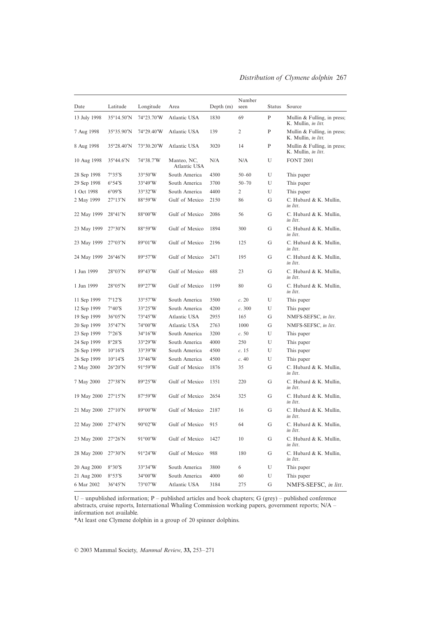| Date         | Latitude                    | Longitude         | Area                        | Depth $(m)$ | Number<br>seen | <b>Status</b> | Source                                                     |
|--------------|-----------------------------|-------------------|-----------------------------|-------------|----------------|---------------|------------------------------------------------------------|
| 13 July 1998 | $35^{\circ}14.50^{\prime}N$ | 74°23.70'W        | Atlantic USA                | 1830        | 69             | P             | Mullin & Fulling, in press;<br>K. Mullin, in litt.         |
| 7 Aug 1998   | $35^{\circ}35.90'$ N        | 74°29.40'W        | Atlantic USA                | 139         | 2              | P             | Mullin & Fulling, in press;<br>K. Mullin, <i>in litt</i> . |
| 8 Aug 1998   | 35°28.40'N                  | 73°30.20'W        | Atlantic USA                | 3020        | 14             | P             | Mullin & Fulling, in press;<br>K. Mullin, in litt.         |
| 10 Aug 1998  | $35^{\circ}44.6'$ N         | 74°38.7′W         | Manteo, NC,<br>Atlantic USA | N/A         | N/A            | U             | <b>FONT 2001</b>                                           |
| 28 Sep 1998  | 7°35'S                      | $33^{\circ}50'W$  | South America               | 4300        | $50 - 60$      | U             | This paper                                                 |
| 29 Sep 1998  | $6^{\circ}54^{\prime}S$     | 33°49'W           | South America               | 3700        | $50 - 70$      | U             | This paper                                                 |
| 1 Oct 1998   | $6^{\circ}09^{\prime}S$     | 33°32'W           | South America               | 4400        | 2              | U             | This paper                                                 |
| 2 May 1999   | $27^{\circ}13'N$            | $88^\circ 59'W$   | Gulf of Mexico              | 2150        | 86             | G             | C. Hubard & K. Mullin,<br>in litt.                         |
| 22 May 1999  | 28°41'N                     | $88^{\circ}00'W$  | Gulf of Mexico              | 2086        | 56             | G             | C. Hubard & K. Mullin,<br>in litt.                         |
| 23 May 1999  | 27°30'N                     | 88°59'W           | Gulf of Mexico              | 1894        | 300            | G             | C. Hubard & K. Mullin,<br>in litt.                         |
| 23 May 1999  | $27^{\circ}03'$ N           | $89^{\circ}01'W$  | Gulf of Mexico              | 2196        | 125            | G             | C. Hubard & K. Mullin,<br>in litt.                         |
| 24 May 1999  | $26^{\circ}46'$ N           | 89°57'W           | Gulf of Mexico              | 2471        | 195            | G             | C. Hubard & K. Mullin,<br>in litt.                         |
| 1 Jun 1999   | $28^{\circ}03'$ N           | $89^{\circ}43'W$  | Gulf of Mexico              | 688         | 23             | G             | C. Hubard & K. Mullin,<br>in litt.                         |
| 1 Jun 1999   | $28^{\circ}05'$ N           | 89°27′W           | Gulf of Mexico              | 1199        | 80             | G             | C. Hubard & K. Mullin,<br>in litt.                         |
| 11 Sep 1999  | 7°12'S                      | 33°57'W           | South America               | 3500        | c. 20          | U             | This paper                                                 |
| 12 Sep 1999  | $7°40'$ S                   | $33^{\circ}25'W$  | South America               | 4200        | c.300          | U             | This paper                                                 |
| 19 Sep 1999  | $36^{\circ}05'$ N           | 73°45′W           | Atlantic USA                | 2955        | 165            | G             | NMFS-SEFSC, in litt.                                       |
| 20 Sep 1999  | $35^{\circ}47'$ N           | 74°00'W           | Atlantic USA                | 2763        | 1000           | G             | NMFS-SEFSC, in litt.                                       |
| 23 Sep 1999  | 7°26'S                      | $34^{\circ}16'$ W | South America               | 3200        | c.50           | U             | This paper                                                 |
| 24 Sep 1999  | $8°28'$ S                   | $33^{\circ}29'W$  | South America               | 4000        | 250            | U             | This paper                                                 |
| 26 Sep 1999  | $10^{\circ}16^{\prime}S$    | 33°39'W           | South America               | 4500        | c.15           | U             | This paper                                                 |
| 26 Sep 1999  | $10^{\circ}14^{\prime}S$    | $33^{\circ}46'W$  | South America               | 4500        | c.40           | U             | This paper                                                 |
| 2 May 2000   | $26^{\circ}20'$ N           | $91^{\circ}59'W$  | Gulf of Mexico              | 1876        | 35             | G             | C. Hubard & K. Mullin,<br>in litt.                         |
| 7 May 2000   | 27°38'N                     | $89^{\circ}25'W$  | Gulf of Mexico              | 1351        | 220            | G             | C. Hubard & K. Mullin,<br>in litt.                         |
| 19 May 2000  | $27^{\circ}15'$ N           | 87°59'W           | Gulf of Mexico              | 2654        | 325            | G             | C. Hubard & K. Mullin,<br>in litt.                         |
| 21 May 2000  | $27^{\circ}10'$ N           | 89°00'W           | Gulf of Mexico              | 2187        | 16             | G             | C. Hubard & K. Mullin,<br>in litt.                         |
| 22 May 2000  | $27^{\circ}43'N$            | $90^{\circ}02'W$  | Gulf of Mexico              | 915         | 64             | G             | C. Hubard & K. Mullin,<br>in litt.                         |
| 23 May 2000  | $27^{\circ}26'$ N           | 91°00'W           | Gulf of Mexico              | 1427        | 10             | G             | C. Hubard & K. Mullin,<br>in litt.                         |
| 28 May 2000  | 27°30'N                     | $91^{\circ}24'W$  | Gulf of Mexico              | 988         | 180            | G             | C. Hubard & K. Mullin,<br>in litt.                         |
| 20 Aug 2000  | 8°30'S                      | 33°34′W           | South America               | 3800        | 6              | U             | This paper                                                 |
| 21 Aug 2000  | $8°53'$ S                   | 34°00'W           | South America               | 4000        | 60             | U             | This paper                                                 |
| 6 Mar 2002   | 36°45'N                     | 73°07′W           | Atlantic USA                | 3184        | 275            | G             | NMFS-SEFSC, in litt.                                       |

U – unpublished information; P – published articles and book chapters; G (grey) – published conference abstracts, cruise reports, International Whaling Commission working papers, government reports; N/A – information not available.

\*At least one Clymene dolphin in a group of 20 spinner dolphins.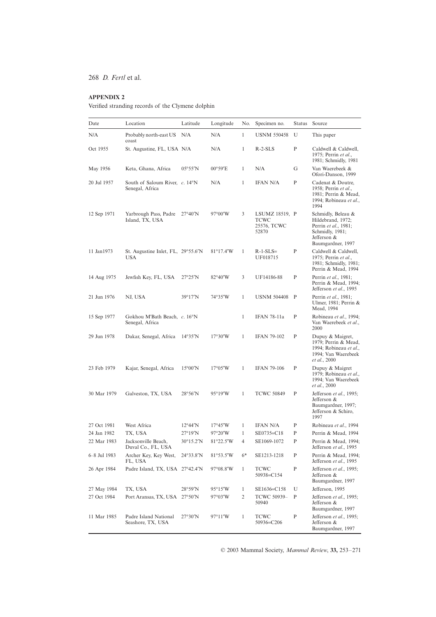# **APPENDIX 2**

Verified stranding records of the Clymene dolphin

| Date         | Location                                             | Latitude           | Longitude          | No.          | Specimen no.                                   | <b>Status</b> | Source                                                                                                                 |
|--------------|------------------------------------------------------|--------------------|--------------------|--------------|------------------------------------------------|---------------|------------------------------------------------------------------------------------------------------------------------|
| N/A          | Probably north-east US<br>coast                      | N/A                | N/A                | $\mathbf{1}$ | <b>USNM 550458</b>                             | U             | This paper                                                                                                             |
| Oct 1955     | St. Augustine, FL, USA N/A                           |                    | N/A                | $\mathbf{1}$ | $R-2-SLS$                                      | P             | Caldwell & Caldwell,<br>1975; Perrin et al.,<br>1981; Schmidly, 1981                                                   |
| May 1956     | Keta, Ghana, Africa                                  | $05^{\circ}55'$ N  | $00^{\circ}59'E$   | 1            | N/A                                            | G             | Van Waerebeek &<br>Ofori-Danson, 1999                                                                                  |
| 20 Jul 1957  | South of Saloum River, $c$ . 14°N<br>Senegal, Africa |                    | N/A                | 1            | <b>IFAN N/A</b>                                | P             | Cadenat & Doutre,<br>1958; Perrin et al.,<br>1981; Perrin & Mead,<br>1994; Robineau et al.,<br>1994                    |
| 12 Sep 1971  | Yarbrough Pass, Padre<br>Island, TX, USA             | $27^{\circ}40'$ N  | $97^{\circ}00'W$   | 3            | LSUMZ 18519, P<br>TCWC<br>25576, TCWC<br>52870 |               | Schmidly, Beleau &<br>Hildebrand, 1972;<br>Perrin et al., 1981;<br>Schmidly, 1981;<br>Jefferson &<br>Baumgardner, 1997 |
| 11 Jan1973   | St. Augustine Inlet, FL, 29°55.6'N<br>USA            |                    | $81^{\circ}17.4'W$ | $\mathbf{1}$ | $R-1-SLS=$<br>UF018715                         | P             | Caldwell & Caldwell,<br>1975; Perrin et al.,<br>1981; Schmidly, 1981;<br>Perrin & Mead, 1994                           |
| 14 Aug 1975  | Jewfish Key, FL, USA                                 | $27^{\circ}25'N$   | $82^{\circ}40'W$   | 3            | UF14186-88                                     | P             | Perrin et al., 1981;<br>Perrin & Mead, 1994;<br>Jefferson et al., 1995                                                 |
| 21 Jun 1976  | NJ, USA                                              | $39^{\circ}17'$ N  | 74°35'W            | 1            | <b>USNM 504408</b>                             | $\mathbf{P}$  | Perrin et al., 1981;<br>Ulmer, 1981; Perrin &<br>Mead, 1994                                                            |
| 15 Sep 1977  | Gokhou M'Bath Beach, c. 16°N<br>Senegal, Africa      |                    |                    | 1            | <b>IFAN 78-11a</b>                             | P             | Robineau et al., 1994;<br>Van Waerebeek et al.,<br>2000                                                                |
| 29 Jun 1978  | Dakar, Senegal, Africa                               | 14°35'N            | $17^{\circ}30'W$   | 1            | <b>IFAN 79-102</b>                             | P             | Dupuy & Maigret,<br>1979; Perrin & Mead,<br>1994; Robineau et al.,<br>1994; Van Waerebeek<br>et al., 2000              |
| 23 Feb 1979  | Kajar, Senegal, Africa                               | $15^{\circ}00'$ N  | $17^{\circ}05'W$   | $\mathbf{1}$ | <b>IFAN 79-106</b>                             | P             | Dupuy & Maigret<br>1979; Robineau et al.,<br>1994; Van Waerebeek<br>et al., 2000                                       |
| 30 Mar 1979  | Galveston, TX, USA                                   | 28°56'N            | $95^{\circ}19'W$   | 1            | <b>TCWC 50849</b>                              | P             | Jefferson et al., 1995;<br>Jefferson &<br>Baumgardner, 1997;<br>Jefferson & Schiro,<br>1997                            |
| 27 Oct 1981  | West Africa                                          | $12^{\circ}44'N$   | $17^{\circ}45'W$   | 1            | IFAN N/A                                       | P             | Robineau et al., 1994                                                                                                  |
| 24 Jan 1982  | TX. USA                                              | $27^{\circ}19'N$   | $97^{\circ}20'W$   | 1            | SE0735=C18                                     | P             | Perrin & Mead, 1994                                                                                                    |
| 22 Mar 1983  | Jacksonville Beach,<br>Duval Co., FL, USA            | $30^{\circ}15.2'N$ | 81°22.5'W          | 4            | SE1069-1072                                    | P             | Perrin & Mead, 1994;<br>Jefferson et al., 1995                                                                         |
| 6–8 Jul 1983 | Archer Key, Key West,<br>FL, USA                     | 24°33.8'N          | 81°53.5'W          | $6*$         | SE1213-1218                                    | P             | Perrin & Mead, 1994;<br>Jefferson et al., 1995                                                                         |
| 26 Apr 1984  | Padre Island, TX, USA 27°42.4'N                      |                    | 97°08.8'W          | $\mathbf{1}$ | <b>TCWC</b><br>50938=C154                      | ${\bf P}$     | Jefferson et al., 1995;<br>Jefferson &<br>Baumgardner, 1997                                                            |
| 27 May 1984  | TX, USA                                              | 28°59'N            | $95^{\circ}15'W$   | $\mathbf{1}$ | SE1636=C158                                    | U             | Jefferson, 1995                                                                                                        |
| 27 Oct 1984  | Port Aransas, TX, USA 27°50'N                        |                    | 97°03′W            | 2            | TCWC 50939-<br>50940                           | P             | Jefferson et al., 1995;<br>Jefferson &<br>Baumgardner, 1997                                                            |
| 11 Mar 1985  | Padre Island National<br>Seashore, TX, USA           | $27^{\circ}30'$ N  | 97°11′W            | $\mathbf{1}$ | TCWC<br>50936=C206                             | $\mathbf{P}$  | Jefferson et al., 1995;<br>Jefferson &<br>Baumgardner, 1997                                                            |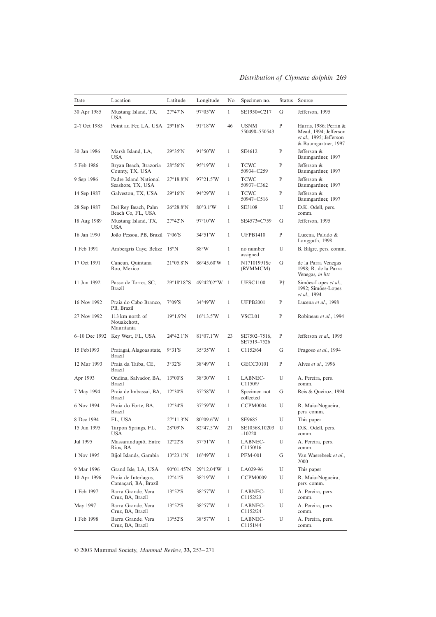| Date         | Location                                     | Latitude                 | Longitude           | No.          | Specimen no.                                 | <b>Status</b> | Source                                                                                            |
|--------------|----------------------------------------------|--------------------------|---------------------|--------------|----------------------------------------------|---------------|---------------------------------------------------------------------------------------------------|
| 30 Apr 1985  | Mustang Island, TX,<br>USA                   | $27^{\circ}47'N$         | 97°05'W             | $\mathbf{1}$ | SE1950=C217                                  | G             | Jefferson, 1995                                                                                   |
| 2–? Oct 1985 | Point au Fer, LA, USA 29°16'N                |                          | $91^{\circ}18'W$    | 46           | <b>USNM</b><br>550498-550543                 | $\mathbf{P}$  | Harris, 1986; Perrin &<br>Mead, 1994; Jefferson<br>et al., 1995; Jefferson<br>& Baumgartner, 1997 |
| 30 Jan 1986  | Marsh Island, LA,<br><b>USA</b>              | 29°35'N                  | $91^{\circ}50'W$    | $\mathbf{1}$ | SE4612                                       | P             | Jefferson &<br>Baumgardner, 1997                                                                  |
| 5 Feb 1986   | Bryan Beach, Brazoria<br>County, TX, USA     | 28°56'N                  | $95^{\circ}19'W$    | $\mathbf{1}$ | <b>TCWC</b><br>50934=C259                    | P             | Jefferson &<br>Baumgardner, 1997                                                                  |
| 9 Sep 1986   | Padre Island National<br>Seashore, TX, USA   | $27^{\circ}18.8'N$       | $97^{\circ}21.5'W$  | $\mathbf{1}$ | <b>TCWC</b><br>50937=C362                    | P             | Jefferson &<br>Baumgardner, 1997                                                                  |
| 14 Sep 1987  | Galveston, TX, USA                           | $29^{\circ}16'$ N        | 94°29'W             | $\mathbf{1}$ | <b>TCWC</b><br>50947=C516                    | P             | Jefferson &<br>Baumgardner, 1997                                                                  |
| 28 Sep 1987  | Del Rey Beach, Palm<br>Beach Co, FL, USA     | $26^{\circ}28.8'N$       | $80^{\circ}3.1'W$   | $\mathbf{1}$ | <b>SE3108</b>                                | U             | D.K. Odell, pers.<br>comm.                                                                        |
| 18 Aug 1989  | Mustang Island, TX,<br>USA                   | $27^{\circ}42'N$         | 97°10′W             | $\mathbf{1}$ | SE4573=C759                                  | G             | Jefferson, 1995                                                                                   |
| 16 Jan 1990  | João Pessoa, PB, Brazil                      | $7^{\circ}06^{\prime}S$  | $34^{\circ}51'W$    | $\mathbf{1}$ | <b>UFPB1410</b>                              | P             | Lucena, Paludo &<br>Langguth, 1998                                                                |
| 1 Feb 1991   | Ambergris Caye, Belize                       | $18^{\circ}$ N           | $88^{\circ}$ W      | $\mathbf{1}$ | no number<br>assigned                        | U             | B. Bilgre, pers. comm.                                                                            |
| 17 Oct 1991  | Cancun, Quintana<br>Roo, Mexico              | $21^{\circ}05.8'N$       | $86^{\circ}45.60'W$ | $\mathbf{1}$ | N17101991Sc<br>(RVMMCM)                      | G             | de la Parra Venegas<br>1998; R. de la Parra<br>Venegas, in litt.                                  |
| 11 Jun 1992  | Passo de Torres, SC,<br><b>Brazil</b>        | 29°18'18"S               | 49°42'02"W 1        |              | <b>UFSC1100</b>                              | Ρ†            | Simões-Lopes et al.,<br>1992; Simões-Lopes<br>et al., 1994                                        |
| 16 Nov 1992  | Praia do Cabo Branco,<br>PB, Brazil          | $7^{\circ}09^{\prime}S$  | 34°49′W             | $\mathbf{1}$ | <b>UFPB2001</b>                              | P             | Lucena et al., 1998                                                                               |
| 27 Nov 1992  | 113 km north of<br>Nouakchott,<br>Mauritania | $19^{\circ}1.9'N$        | $16^{\circ}13.5'W$  | $\mathbf{1}$ | VSCL01                                       | P             | Robineau et al., 1994                                                                             |
|              | 6–10 Dec 1992 Key West, FL, USA              | $24^{\circ}42.1'N$       | $81^{\circ}07.1'W$  | 23           | SE7502-7516,<br>SE7519-7526                  | P             | Jefferson et al., 1995                                                                            |
| 15 Feb1993   | Pratagai, Alagoas state,<br><b>Brazil</b>    | $9°31'$ S                | $35^{\circ}35'W$    | $\mathbf{1}$ | C1152/64                                     | G             | Fragoso et al., 1994                                                                              |
| 12 Mar 1993  | Praia da Taiba, CE,<br><b>Brazil</b>         | 3°32'S                   | $38^{\circ}49'W$    | $\mathbf{1}$ | GECC30101                                    | P             | Alves et al., 1996                                                                                |
| Apr 1993     | Ondina, Salvador, BA,<br><b>Brazil</b>       | $13^{\circ}00^{\prime}S$ | 38°30′W             | $\mathbf{1}$ | LABNEC-<br>C1150/9                           | U             | A. Pereira, pers.<br>comm.                                                                        |
| 7 May 1994   | Praia de Imbassai, BA,<br><b>Brazil</b>      | 12°30'S                  | $37^{\circ}58'W$    | $\mathbf{1}$ | Specimen not<br>collected                    | G             | Reis & Queiroz, 1994                                                                              |
| 6 Nov 1994   | Praia do Forte, BA,<br><b>Brazil</b>         | $12°34'$ S               | $37^{\circ}59'W$    | $\mathbf{1}$ | CCPM0004                                     | U             | R. Maia-Nogueira,<br>pers. comm.                                                                  |
| 8 Dec 1994   | FL, USA                                      | $27^{\circ}11.3'N$       | 80°09.6'W           | 1            | SE9685                                       | U             | This paper                                                                                        |
| 15 Jun 1995  | Tarpon Springs, FL,<br>USA                   | $28^{\circ}09'N$         | 82°47.5'W           | 21           | SE10568,10203<br>$-10220$                    | U             | D.K. Odell, pers.<br>comm.                                                                        |
| Jul 1995     | Massarandupiô, Entre<br>Rios, BA             | $12°22'$ S               | 37°51'W             | $\mathbf{1}$ | LABNEC-<br>C <sub>1150</sub> / <sub>16</sub> | U             | A. Pereira, pers.<br>comm.                                                                        |
| 1 Nov 1995   | Bijol Islands, Gambia                        | $13^{\circ}23.1'N$       | $16^{\circ}49'W$    | $\mathbf{1}$ | <b>PFM-001</b>                               | G             | Van Waerebeek et al.,<br>2000                                                                     |
| 9 Mar 1996   | Grand Isle, LA, USA                          | $90^{\circ}01.45'N$      | 29°12.04'W          | $\mathbf{1}$ | LA029-96                                     | U             | This paper                                                                                        |
| 10 Apr 1996  | Praia de Interlagos,<br>Camaçari, BA, Brazil | $12^{\circ}41'$ S        | 38°19′W             | $\mathbf{1}$ | <b>CCPM0009</b>                              | U             | R. Maia-Nogueira,<br>pers. comm.                                                                  |
| 1 Feb 1997   | Barra Grande, Vera<br>Cruz, BA, Brazil       | $13°52'$ S               | 38°57′W             | $\mathbf{1}$ | LABNEC-<br>C1152/23                          | U             | A. Pereira, pers.<br>comm.                                                                        |
| May 1997     | Barra Grande, Vera<br>Cruz, BA, Brazil       | $13°52'$ S               | 38°57′W             | $\mathbf{1}$ | LABNEC-<br>C1152/24                          | U             | A. Pereira, pers.<br>comm.                                                                        |
| 1 Feb 1998   | Barra Grande, Vera<br>Cruz, BA, Brazil       | $13^{\circ}52^{\prime}S$ | 38°57′W             | $\mathbf{1}$ | LABNEC-<br>C1151/44                          | U             | A. Pereira, pers.<br>comm.                                                                        |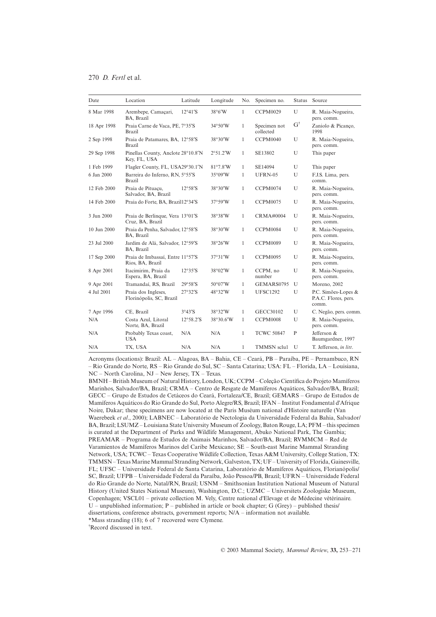| Date            | Location                                             | Latitude                   | Longitude         | No.          | Specimen no.              | Status        | Source                                               |
|-----------------|------------------------------------------------------|----------------------------|-------------------|--------------|---------------------------|---------------|------------------------------------------------------|
| 8 Mar 1998      | Arembepe, Camaçari,<br>BA. Brazil                    | $12^{\circ}41^{\prime}S$   | $38^{\circ}6'W$   | 1            | <b>CCPM0029</b>           | U             | R. Maia-Nogueira,<br>pers. comm.                     |
| 18 Apr 1998     | Praia Carne de Vaca, PE, 7°35'S<br><b>Brazil</b>     |                            | $34^{\circ}50'W$  | 1            | Specimen not<br>collected | $G^{\dagger}$ | Zaniolo & Picanço,<br>1998                           |
| 2 Sep 1998      | Praia de Patamares, BA, 12°58'S<br>Brazil            |                            | 38°30'W           | 1            | <b>CCPM0040</b>           | U             | R. Maia-Nogueira,<br>pers. comm.                     |
| 29 Sep 1998     | Pinellas County, Anclote 28°10.8'N<br>Key, FL, USA   |                            | $2^{\circ}51.2'W$ | 1            | SE13802                   | U             | This paper                                           |
| 1 Feb 1999      | Flagler County, FL, USA29°30.1'N                     |                            | $81^{\circ}7.8'W$ | $\mathbf{1}$ | SE14094                   | U             | This paper                                           |
| 6 Jan 2000      | Barreira do Inferno, RN, 5°55'S<br>Brazil            |                            | $35^{\circ}09'W$  | 1            | $UFRN-05$                 | U             | F.J.S. Lima, pers.<br>comm.                          |
| 12 Feb 2000     | Praia de Pituacu.<br>Salvador, BA, Brazil            | $12^{\circ}58^{\prime}S$   | 38°30'W           | 1            | <b>CCPM0074</b>           | U             | R. Maia-Nogueira,<br>pers. comm.                     |
| 14 Feb 2000     | Praia do Forte, BA, Brazil12°34'S                    |                            | $37^{\circ}59'W$  | 1            | CCPM0075                  | U             | R. Maia-Nogueira,<br>pers. comm.                     |
| 3 Jun 2000      | Praia de Berlinque, Vera 13°01'S<br>Cruz, BA, Brazil |                            | 38°38′W           | 1            | <b>CRMA#0004</b>          | U             | R. Maia-Nogueira,<br>pers. comm.                     |
| $10$ Jun $2000$ | Praia da Penha, Salvador, 12°58'S<br>BA, Brazil      |                            | 38°30'W           | 1            | CCPM0084                  | U             | R. Maia-Nogueira,<br>pers. comm.                     |
| 23 Jul 2000     | Jardim de Alá, Salvador, 12°59'S<br>BA, Brazil       |                            | 38°26'W           | 1            | <b>CCPM0089</b>           | U             | R. Maia-Nogueira,<br>pers. comm.                     |
| 17 Sep 2000     | Praia de Imbassaí, Entre 11°57'S<br>Rios, BA, Brazil |                            | 37°31'W           | 1            | <b>CCPM0095</b>           | U             | R. Maia-Nogueira,<br>pers. comm.                     |
| 8 Apr 2001      | Itacimirim. Praia da<br>Espera, BA, Brazil           | 12°35'S                    | 38°02′W           | 1            | CCPM, no<br>number        | U             | R. Maia-Nogueira,<br>pers. comm.                     |
| 9 Apr 2001      | Tramandaí, RS, Brazil                                | $29^{\circ}58'$ S          | $50^{\circ}07'W$  | 1            | GEMARS0795                | U             | Moreno, 2002                                         |
| 4 Jul 2001      | Praia dos Ingleses,<br>Florinópolis, SC, Brazil      | 27°32'S                    | 48°32'W           | 1            | <b>UFSC1292</b>           | U             | P.C. Simões-Lopes &<br>P.A.C. Flores, pers.<br>comm. |
| 7 Apr 1996      | CE, Brazil                                           | $3^{\circ}43^{\prime}S$    | 38°32′W           | 1            | GECC30102                 | U             | C. Negão, pers. comm.                                |
| N/A             | Costa Azul, Litoral<br>Norte, BA, Brazil             | $12^{\circ}58.2^{\prime}S$ | 38°30.6'W         | 1            | <b>CCPM0008</b>           | U             | R. Maia-Nogueira,<br>pers. comm.                     |
| N/A             | Probably Texas coast,<br>USA                         | N/A                        | N/A               | 1            | <b>TCWC 50847</b>         | P             | Jefferson &<br>Baumgardner, 1997                     |
| N/A             | TX, USA                                              | N/A                        | N/A               | 1            | TMMSN sclu1               | U             | T. Jefferson, in litt.                               |

Acronyms (locations): Brazil: AL – Alagoas, BA – Bahia, CE – Ceará, PB – Paraíba, PE – Pernambuco, RN – Rio Grande do Norte, RS – Rio Grande do Sul, SC – Santa Catarina; USA: FL – Florida, LA – Louisiana, NC – North Carolina, NJ – New Jersey, TX – Texas.

BMNH – British Museum of Natural History, London, UK; CCPM – Coleção Científica do Projeto Mamíferos Marinhos, Salvador/BA, Brazil; CRMA – Centro de Resgate de Mamíferos Aquáticos, Salvador/BA, Brazil; GECC – Grupo de Estudos de Cetáceos do Ceará, Fortaleza/CE, Brazil; GEMARS – Grupo de Estudos de Mamíferos Aquáticos do Rio Grande do Sul, Porto Alegre/RS, Brazil; IFAN – Institut Fondamental d'Afrique Noire, Dakar; these specimens are now located at the Paris Muséum national d'Histoire naturelle (Van Waerebeek *et al*., 2000); LABNEC – Laboratório de Nectologia da Universidade Federal da Bahia, Salvador/ BA, Brazil; LSUMZ – Louisiana State University Museum of Zoology, Baton Rouge, LA; PFM – this specimen is curated at the Department of Parks and Wildlife Management, Abuko National Park, The Gambia; PREAMAR – Programa de Estudos de Animais Marinhos, Salvador/BA, Brazil; RVMMCM – Red de Varamientos de Mamíferos Marinos del Caribe Mexicano; SE – South-east Marine Mammal Stranding Network, USA; TCWC – Texas Cooperative Wildlife Collection, Texas A&M University, College Station, TX: TMMSN – Texas Marine Mammal Stranding Network, Galveston, TX; UF – University of Florida, Gainesville, FL; UFSC – Universidade Federal de Santa Catarina, Laboratório de Mamíferos Aquáticos, Florianópolis/ SC, Brazil; UFPB – Universidade Federal da Paraíba, João Pessoa/PB, Brazil; UFRN – Universidade Federal do Rio Grande do Norte, Natal/RN, Brazil; USNM – Smithsonian Institution National Museum of Natural History (United States National Museum), Washington, D.C.; UZMC – Universitets Zoologiske Museum, Copenhagen; VSCL01 – private collection M. Vely, Centre national d'Elevage et de Médecine vétérinaire. U – unpublished information;  $P$  – published in article or book chapter; G (Grey) – published thesis/ dissertations, conference abstracts, government reports; N/A – information not available. \*Mass stranding (18); 6 of 7 recovered were Clymene.

† Record discussed in text.